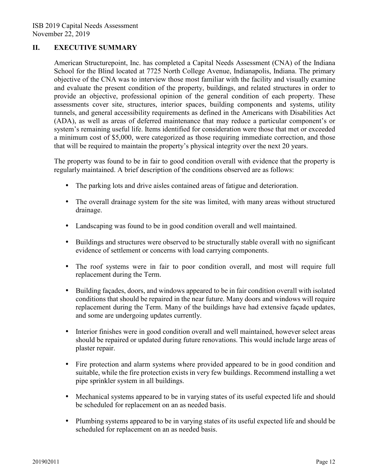## **II. EXECUTIVE SUMMARY**

American Structurepoint, Inc. has completed a Capital Needs Assessment (CNA) of the Indiana School for the Blind located at 7725 North College Avenue, Indianapolis, Indiana. The primary objective of the CNA was to interview those most familiar with the facility and visually examine and evaluate the present condition of the property, buildings, and related structures in order to provide an objective, professional opinion of the general condition of each property. These assessments cover site, structures, interior spaces, building components and systems, utility tunnels, and general accessibility requirements as defined in the Americans with Disabilities Act (ADA), as well as areas of deferred maintenance that may reduce a particular component's or system's remaining useful life. Items identified for consideration were those that met or exceeded a minimum cost of \$5,000, were categorized as those requiring immediate correction, and those that will be required to maintain the property's physical integrity over the next 20 years.

The property was found to be in fair to good condition overall with evidence that the property is regularly maintained. A brief description of the conditions observed are as follows:

- The parking lots and drive aisles contained areas of fatigue and deterioration.
- The overall drainage system for the site was limited, with many areas without structured drainage.
- Landscaping was found to be in good condition overall and well maintained.
- Buildings and structures were observed to be structurally stable overall with no significant evidence of settlement or concerns with load carrying components.
- The roof systems were in fair to poor condition overall, and most will require full replacement during the Term.
- Building facades, doors, and windows appeared to be in fair condition overall with isolated conditions that should be repaired in the near future. Many doors and windows will require replacement during the Term. Many of the buildings have had extensive façade updates, and some are undergoing updates currently.
- Interior finishes were in good condition overall and well maintained, however select areas should be repaired or updated during future renovations. This would include large areas of plaster repair.
- Fire protection and alarm systems where provided appeared to be in good condition and suitable, while the fire protection exists in very few buildings. Recommend installing a wet pipe sprinkler system in all buildings.
- Mechanical systems appeared to be in varying states of its useful expected life and should be scheduled for replacement on an as needed basis.
- Plumbing systems appeared to be in varying states of its useful expected life and should be scheduled for replacement on an as needed basis.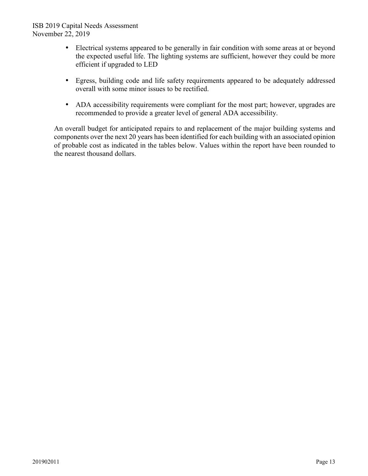## ISB 2019 Capital Needs Assessment November 22, 2019

- Electrical systems appeared to be generally in fair condition with some areas at or beyond the expected useful life. The lighting systems are sufficient, however they could be more efficient if upgraded to LED
- Egress, building code and life safety requirements appeared to be adequately addressed overall with some minor issues to be rectified.
- ADA accessibility requirements were compliant for the most part; however, upgrades are recommended to provide a greater level of general ADA accessibility.

An overall budget for anticipated repairs to and replacement of the major building systems and components over the next 20 years has been identified for each building with an associated opinion of probable cost as indicated in the tables below. Values within the report have been rounded to the nearest thousand dollars.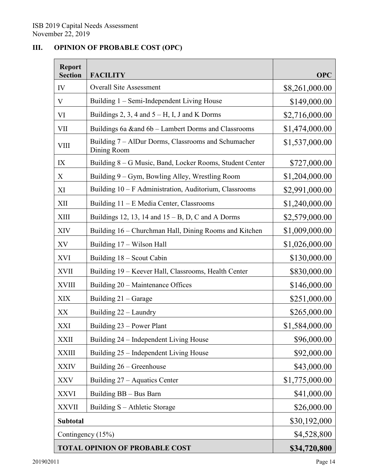## **III. OPINION OF PROBABLE COST (OPC)**

| <b>Report</b><br><b>Section</b>       | <b>FACILITY</b>                                                    | <b>OPC</b>     |
|---------------------------------------|--------------------------------------------------------------------|----------------|
| IV                                    | <b>Overall Site Assessment</b>                                     | \$8,261,000.00 |
| V                                     | Building 1 – Semi-Independent Living House                         | \$149,000.00   |
| VI                                    | Buildings 2, 3, 4 and $5 - H$ , I, J and K Dorms                   | \$2,716,000.00 |
| VII                                   | Buildings 6a ∧ 6b - Lambert Dorms and Classrooms                   | \$1,474,000.00 |
| <b>VIII</b>                           | Building 7 - AlDur Dorms, Classrooms and Schumacher<br>Dining Room | \$1,537,000.00 |
| IX                                    | Building 8 - G Music, Band, Locker Rooms, Student Center           | \$727,000.00   |
| X                                     | Building 9 - Gym, Bowling Alley, Wrestling Room                    | \$1,204,000.00 |
| XI                                    | Building 10 - F Administration, Auditorium, Classrooms             | \$2,991,000.00 |
| XII                                   | Building 11 - E Media Center, Classrooms                           | \$1,240,000.00 |
| <b>XIII</b>                           | Buildings 12, 13, 14 and $15 - B$ , D, C and A Dorms               | \$2,579,000.00 |
| <b>XIV</b>                            | Building 16 - Churchman Hall, Dining Rooms and Kitchen             | \$1,009,000.00 |
| XV                                    | Building 17 – Wilson Hall                                          | \$1,026,000.00 |
| <b>XVI</b>                            | Building 18 - Scout Cabin                                          | \$130,000.00   |
| <b>XVII</b>                           | Building 19 - Keever Hall, Classrooms, Health Center               | \$830,000.00   |
| <b>XVIII</b>                          | Building 20 - Maintenance Offices                                  | \$146,000.00   |
| <b>XIX</b>                            | Building 21 - Garage                                               | \$251,000.00   |
| XX                                    | Building 22 – Laundry                                              | \$265,000.00   |
| <b>XXI</b>                            | Building 23 – Power Plant                                          | \$1,584,000.00 |
| <b>XXII</b>                           | Building 24 - Independent Living House                             | \$96,000.00    |
| <b>XXIII</b>                          | Building 25 - Independent Living House                             | \$92,000.00    |
| <b>XXIV</b>                           | Building 26 – Greenhouse                                           | \$43,000.00    |
| <b>XXV</b>                            | Building 27 – Aquatics Center                                      | \$1,775,000.00 |
| <b>XXVI</b>                           | Building BB - Bus Barn                                             | \$41,000.00    |
| <b>XXVII</b>                          | Building S – Athletic Storage                                      | \$26,000.00    |
| <b>Subtotal</b>                       |                                                                    | \$30,192,000   |
| Contingency (15%)                     |                                                                    | \$4,528,800    |
| <b>TOTAL OPINION OF PROBABLE COST</b> |                                                                    | \$34,720,800   |